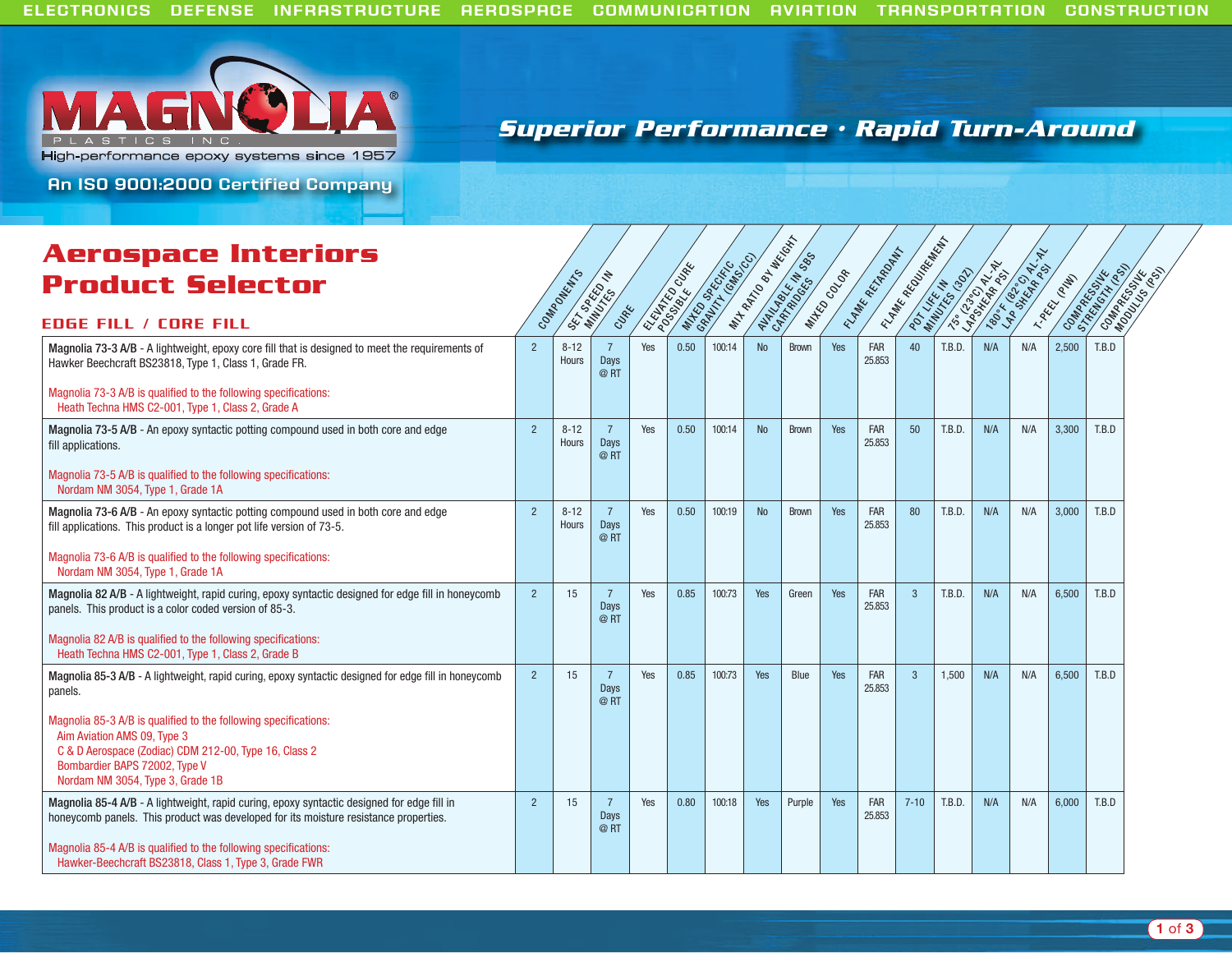

## **Superior Performance • Rapid Turn-Around**

**An ISO 9001:2000 Certified Company**

# **Product Selector**<br>Edge Fill / Core Fill Components **Aerospace Interiors**

| COMMODELLISTS            | SET DOREED IN<br>CLIPE        | S. ELATTE ON THE |      | <b>MALICO COLOR COLOR</b> | WHATCH BOOK | MATASKET 085 | MAKOOOOR | TEMPER REPORT        | <b>EMARK BOOK ROCKET</b><br>POTT KE IN 1991 |        | Trade of Artists | 190,4 Pee OR N.H. | T.Packton | Contractor Head<br>Contractor School |  |
|--------------------------|-------------------------------|------------------|------|---------------------------|-------------|--------------|----------|----------------------|---------------------------------------------|--------|------------------|-------------------|-----------|--------------------------------------|--|
|                          |                               |                  |      |                           |             |              |          |                      |                                             |        |                  |                   |           |                                      |  |
| $8 - 12$<br><b>Hours</b> | $\overline{7}$<br>Days<br>@RT | Yes              | 0.50 | 100:14                    | No          | <b>Brown</b> | Yes      | <b>FAR</b><br>25.853 | 40                                          | T.B.D. | N/A              | N/A               | 2,500     | T.B.D                                |  |
|                          |                               |                  |      |                           |             |              |          |                      |                                             |        |                  |                   |           |                                      |  |
| $8 - 12$<br>Hours        | $\overline{7}$<br>Days<br>@RT | Yes              | 0.50 | 100:14                    | <b>No</b>   | <b>Brown</b> | Yes      | <b>FAR</b><br>25.853 | 50                                          | T.B.D. | N/A              | N/A               | 3,300     | T.B.D                                |  |
|                          |                               |                  |      |                           |             |              |          |                      |                                             |        |                  |                   |           |                                      |  |
| $8 - 12$<br>Hours        | $\overline{7}$<br>Days<br>@RT | Yes              | 0.50 | 100:19                    | <b>No</b>   | <b>Brown</b> | Yes      | <b>FAR</b><br>25.853 | 80                                          | T.B.D. | N/A              | N/A               | 3,000     | T.B.D                                |  |
|                          |                               |                  |      |                           |             |              |          |                      |                                             |        |                  |                   |           |                                      |  |
| 15                       | $\overline{7}$<br>Days<br>@RT | Yes              | 0.85 | 100:73                    | Yes         | Green        | Yes      | <b>FAR</b><br>25.853 | $\overline{3}$                              | T.B.D. | N/A              | N/A               | 6,500     | T.B.D                                |  |
|                          |                               |                  |      |                           |             |              |          |                      |                                             |        |                  |                   |           |                                      |  |
| 15                       | 7<br>Days<br>@RT              | Yes              | 0.85 | 100:73                    | Yes         | Blue         | Yes      | <b>FAR</b><br>25.853 | $\mathbf{3}$                                | 1,500  | N/A              | N/A               | 6,500     | T.B.D                                |  |
|                          |                               |                  |      |                           |             |              |          |                      |                                             |        |                  |                   |           |                                      |  |
| 15                       | $\overline{7}$<br>Days<br>@RT | Yes              | 0.80 | 100:18                    | Yes         | Purple       | Yes      | FAR<br>25.853        | $7 - 10$                                    | T.B.D. | N/A              | N/A               | 6.000     | T.B.D                                |  |
|                          |                               |                  |      |                           |             |              |          |                      |                                             |        |                  |                   |           |                                      |  |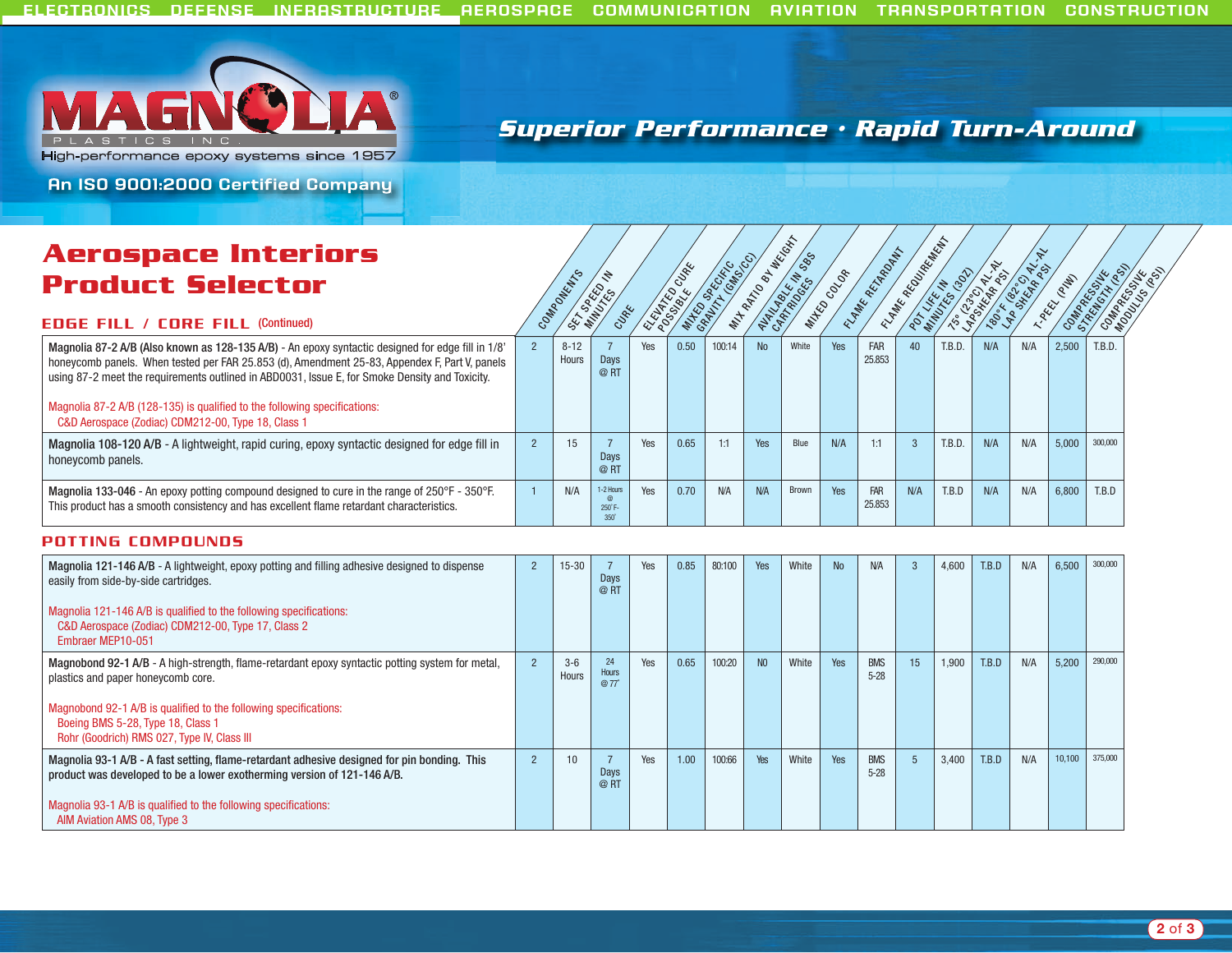

### **Superior Performance • Rapid Turn-Around**

**An ISO 9001:2000 Certified Company**

### **Aerospace Interiors Product Selector**



#### EdgE Fill / CorE Fill (Continued)

| ACI OSPUCE INTENIOIS                                                                                                                                                                                                                                                                                                                                                                                                                    |                   |                            |     |      |            |     |       |     |               |     |        |     |     |       |         |
|-----------------------------------------------------------------------------------------------------------------------------------------------------------------------------------------------------------------------------------------------------------------------------------------------------------------------------------------------------------------------------------------------------------------------------------------|-------------------|----------------------------|-----|------|------------|-----|-------|-----|---------------|-----|--------|-----|-----|-------|---------|
| <b>Product Selector</b><br><b>EDGE FILL / CORE FILL (Continued)</b>                                                                                                                                                                                                                                                                                                                                                                     | PONEWTO           |                            |     |      |            |     |       |     |               |     |        |     |     |       |         |
| Magnolia 87-2 A/B (Also known as 128-135 A/B) - An epoxy syntactic designed for edge fill in 1/8'<br>honeycomb panels. When tested per FAR 25.853 (d), Amendment 25-83, Appendex F, Part V, panels<br>using 87-2 meet the requirements outlined in ABD0031, Issue E, for Smoke Density and Toxicity.<br>Magnolia 87-2 A/B (128-135) is qualified to the following specifications:<br>C&D Aerospace (Zodiac) CDM212-00, Type 18, Class 1 | $8 - 12$<br>Hours | Days<br>@RT                | Yes | 0.50 | 100:14     | No  | White | Yes | FAR<br>25.853 | 40  | T.B.D. | N/A | N/A | 2.500 | T.B.D.  |
| Magnolia 108-120 A/B - A lightweight, rapid curing, epoxy syntactic designed for edge fill in<br>honeycomb panels.                                                                                                                                                                                                                                                                                                                      | 15                | Davs<br>@RT                | Yes | 0.65 |            | Yes | Blue  | N/A | 1:1           |     | T.B.D. | N/A | N/A | 5.000 | 300,000 |
| Magnolia 133-046 - An epoxy potting compound designed to cure in the range of 250°F - 350°F.<br>This product has a smooth consistency and has excellent flame retardant characteristics.                                                                                                                                                                                                                                                | N/A               | 1-2 Hours<br>$250^\circ$ F | Yes | 0.70 | <b>N/A</b> | N/A | Brown | Yes | FAR<br>25.853 | N/A | T.B.D  | N/A | N/A | 6.800 | T.B.D   |

#### Potting ComPounds

| Magnolia 121-146 A/B - A lightweight, epoxy potting and filling adhesive designed to dispense<br>easily from side-by-side cartridges.<br>Magnolia 121-146 A/B is qualified to the following specifications:<br>C&D Aerospace (Zodiac) CDM212-00, Type 17, Class 2<br>Embraer MEP10-051        | $\overline{2}$ | $15 - 30$        | Days<br>@RT         | Yes | 0.85 | 80:100 | Yes            | White | <b>No</b> | N/A                    | 3               | 4,600 | T.B.D | N/A | 6,500  | 300,000 |
|-----------------------------------------------------------------------------------------------------------------------------------------------------------------------------------------------------------------------------------------------------------------------------------------------|----------------|------------------|---------------------|-----|------|--------|----------------|-------|-----------|------------------------|-----------------|-------|-------|-----|--------|---------|
| Magnobond 92-1 A/B - A high-strength, flame-retardant epoxy syntactic potting system for metal,<br>plastics and paper honeycomb core.<br>Magnobond 92-1 A/B is qualified to the following specifications:<br>Boeing BMS 5-28, Type 18, Class 1<br>Rohr (Goodrich) RMS 027, Type IV, Class III |                | $3 - 6$<br>Hours | 24<br>Hours<br>@77° | Yes | 0.65 | 100:20 | N <sub>0</sub> | White | Yes       | <b>BMS</b><br>$5 - 28$ | 15              | 1,900 | T.B.D | N/A | 5,200  | 290,000 |
| Magnolia 93-1 A/B - A fast setting, flame-retardant adhesive designed for pin bonding. This<br>product was developed to be a lower exotherming version of 121-146 A/B.<br>Magnolia 93-1 A/B is qualified to the following specifications:<br>AIM Aviation AMS 08, Type 3                      | $2^{\circ}$    | 10               | Days<br>@RT         | Yes | 1.00 | 100:66 | Yes            | White | Yes       | <b>BMS</b><br>$5 - 28$ | $5\overline{)}$ | 3,400 | T.B.D | N/A | 10,100 | 375,000 |